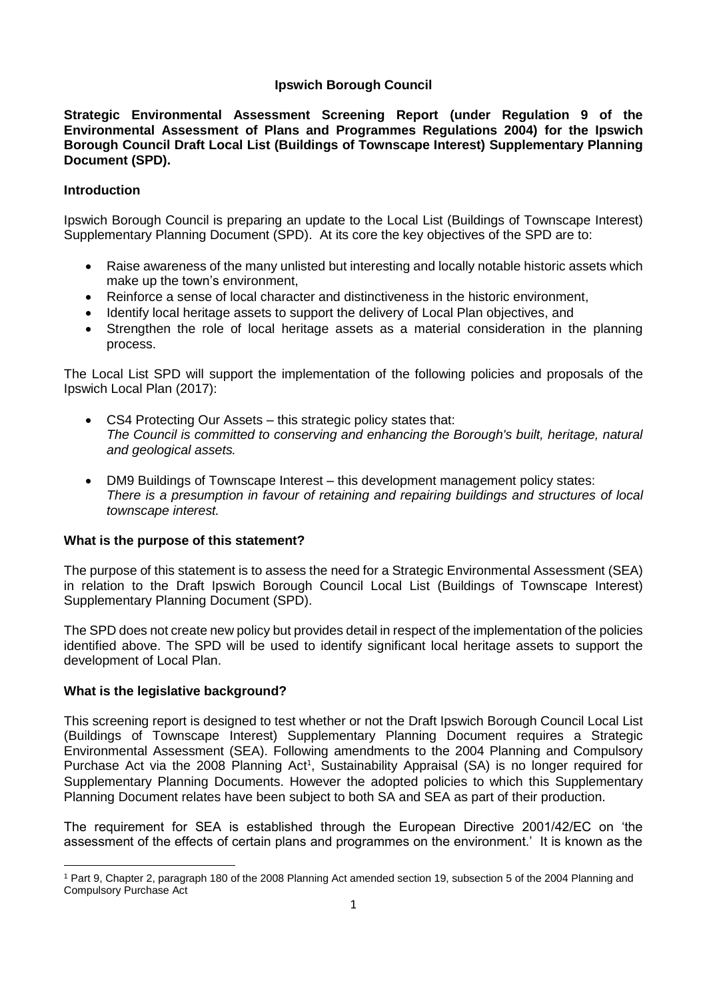## **Ipswich Borough Council**

**Strategic Environmental Assessment Screening Report (under Regulation 9 of the Environmental Assessment of Plans and Programmes Regulations 2004) for the Ipswich Borough Council Draft Local List (Buildings of Townscape Interest) Supplementary Planning Document (SPD).**

## **Introduction**

Ipswich Borough Council is preparing an update to the Local List (Buildings of Townscape Interest) Supplementary Planning Document (SPD). At its core the key objectives of the SPD are to:

- Raise awareness of the many unlisted but interesting and locally notable historic assets which make up the town's environment,
- Reinforce a sense of local character and distinctiveness in the historic environment,
- Identify local heritage assets to support the delivery of Local Plan objectives, and
- Strengthen the role of local heritage assets as a material consideration in the planning process.

The Local List SPD will support the implementation of the following policies and proposals of the Ipswich Local Plan (2017):

- CS4 Protecting Our Assets this strategic policy states that: *The Council is committed to conserving and enhancing the Borough's built, heritage, natural and geological assets.*
- DM9 Buildings of Townscape Interest this development management policy states: *There is a presumption in favour of retaining and repairing buildings and structures of local townscape interest.*

#### **What is the purpose of this statement?**

The purpose of this statement is to assess the need for a Strategic Environmental Assessment (SEA) in relation to the Draft Ipswich Borough Council Local List (Buildings of Townscape Interest) Supplementary Planning Document (SPD).

The SPD does not create new policy but provides detail in respect of the implementation of the policies identified above. The SPD will be used to identify significant local heritage assets to support the development of Local Plan.

## **What is the legislative background?**

This screening report is designed to test whether or not the Draft Ipswich Borough Council Local List (Buildings of Townscape Interest) Supplementary Planning Document requires a Strategic Environmental Assessment (SEA). Following amendments to the 2004 Planning and Compulsory Purchase Act via the 2008 Planning Act<sup>1</sup>, Sustainability Appraisal (SA) is no longer required for Supplementary Planning Documents. However the adopted policies to which this Supplementary Planning Document relates have been subject to both SA and SEA as part of their production.

The requirement for SEA is established through the European Directive 2001/42/EC on 'the assessment of the effects of certain plans and programmes on the environment.' It is known as the

 $\ddot{\phantom{a}}$ <sup>1</sup> Part 9, Chapter 2, paragraph 180 of the 2008 Planning Act amended section 19, subsection 5 of the 2004 Planning and Compulsory Purchase Act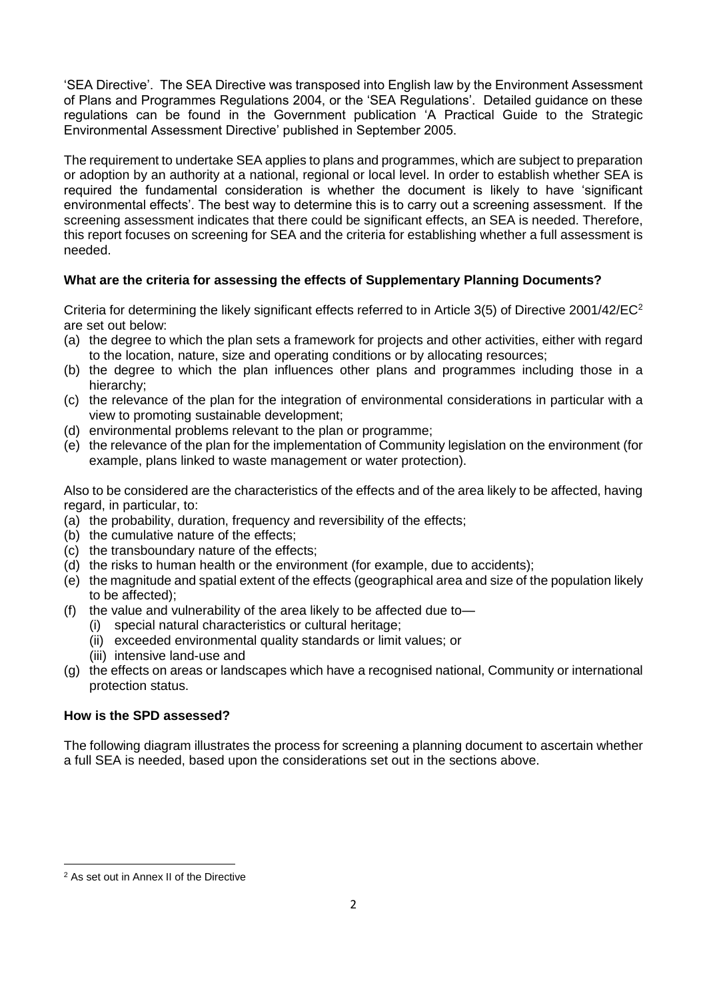'SEA Directive'. The SEA Directive was transposed into English law by the Environment Assessment of Plans and Programmes Regulations 2004, or the 'SEA Regulations'. Detailed guidance on these regulations can be found in the Government publication 'A Practical Guide to the Strategic Environmental Assessment Directive' published in September 2005.

The requirement to undertake SEA applies to plans and programmes, which are subject to preparation or adoption by an authority at a national, regional or local level. In order to establish whether SEA is required the fundamental consideration is whether the document is likely to have 'significant environmental effects'. The best way to determine this is to carry out a screening assessment. If the screening assessment indicates that there could be significant effects, an SEA is needed. Therefore, this report focuses on screening for SEA and the criteria for establishing whether a full assessment is needed.

# **What are the criteria for assessing the effects of Supplementary Planning Documents?**

Criteria for determining the likely significant effects referred to in Article 3(5) of Directive 2001/42/EC<sup>2</sup> are set out below:

- (a) the degree to which the plan sets a framework for projects and other activities, either with regard to the location, nature, size and operating conditions or by allocating resources;
- (b) the degree to which the plan influences other plans and programmes including those in a hierarchy;
- (c) the relevance of the plan for the integration of environmental considerations in particular with a view to promoting sustainable development;
- (d) environmental problems relevant to the plan or programme;
- (e) the relevance of the plan for the implementation of Community legislation on the environment (for example, plans linked to waste management or water protection).

Also to be considered are the characteristics of the effects and of the area likely to be affected, having regard, in particular, to:

- (a) the probability, duration, frequency and reversibility of the effects;
- (b) the cumulative nature of the effects;
- (c) the transboundary nature of the effects;
- (d) the risks to human health or the environment (for example, due to accidents);
- (e) the magnitude and spatial extent of the effects (geographical area and size of the population likely to be affected);
- (f) the value and vulnerability of the area likely to be affected due to—
	- (i) special natural characteristics or cultural heritage;
	- (ii) exceeded environmental quality standards or limit values; or
	- (iii) intensive land-use and
- (g) the effects on areas or landscapes which have a recognised national, Community or international protection status.

#### **How is the SPD assessed?**

The following diagram illustrates the process for screening a planning document to ascertain whether a full SEA is needed, based upon the considerations set out in the sections above.

 $\overline{a}$ <sup>2</sup> As set out in Annex II of the Directive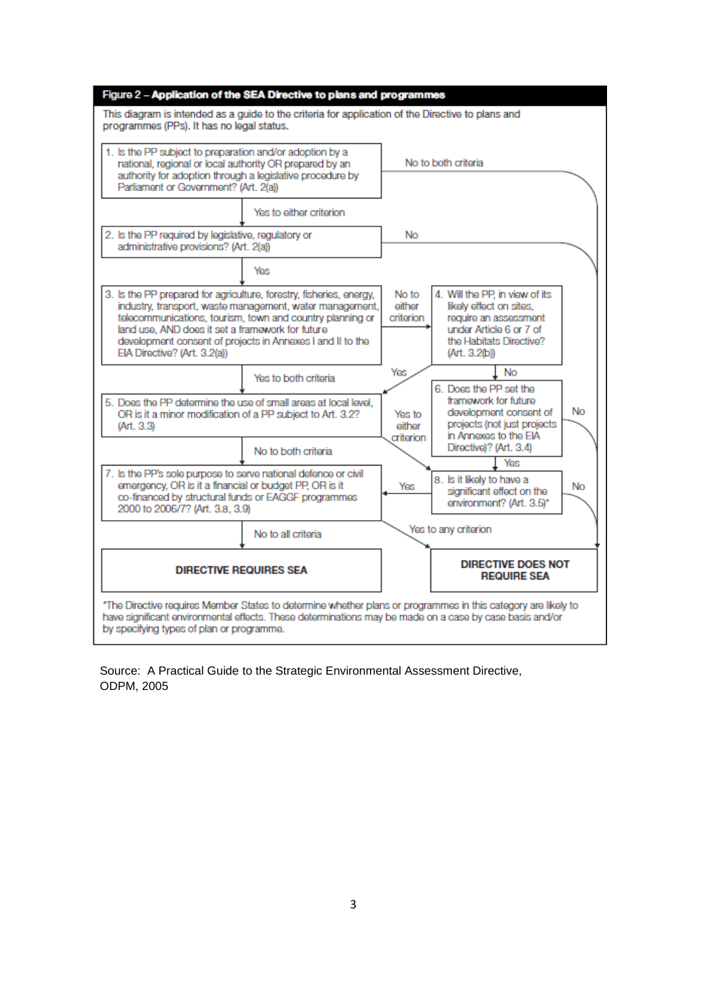| Figure 2 - Application of the SEA Directive to plans and programmes                                                                                                                                                       |                                                                                                                                                                                     |                               |                                                                                                                                                           |  |
|---------------------------------------------------------------------------------------------------------------------------------------------------------------------------------------------------------------------------|-------------------------------------------------------------------------------------------------------------------------------------------------------------------------------------|-------------------------------|-----------------------------------------------------------------------------------------------------------------------------------------------------------|--|
| This diagram is intended as a guide to the criteria for application of the Directive to plans and<br>programmes (PPs). It has no legal status.                                                                            |                                                                                                                                                                                     |                               |                                                                                                                                                           |  |
| 1. Is the PP subject to preparation and/or adoption by a<br>national, regional or local authority OR prepared by an<br>authority for adoption through a legislative procedure by<br>Parliament or Government? (Art. 2(a)) |                                                                                                                                                                                     |                               | No to both criteria                                                                                                                                       |  |
|                                                                                                                                                                                                                           | Yes to either criterion                                                                                                                                                             |                               |                                                                                                                                                           |  |
| 2. Is the PP required by legislative, regulatory or<br>administrative provisions? (Art. 2(a))                                                                                                                             |                                                                                                                                                                                     | No                            |                                                                                                                                                           |  |
|                                                                                                                                                                                                                           | Yes                                                                                                                                                                                 |                               |                                                                                                                                                           |  |
| 3. Is the PP prepared for agriculture, forestry, fisheries, energy,<br>land use, AND does it set a framework for future<br>EIA Directive? (Art. 3.2(a))                                                                   | industry, transport, waste management, water management,<br>telecommunications, tourism, town and country planning or<br>development consent of projects in Annexes I and II to the | No to<br>either<br>criterion  | 4. Will the PP, in view of its<br>likely effect on sites,<br>require an assessment<br>under Article 6 or 7 of<br>the Habitats Directive?<br>(Art. 3.2(b)) |  |
|                                                                                                                                                                                                                           | Yes to both criteria                                                                                                                                                                | Yes                           | <b>No</b><br>6. Does the PP set the                                                                                                                       |  |
| 5. Does the PP determine the use of small areas at local level,<br>OR is it a minor modification of a PP subject to Art. 3.2?<br>(Art. 3.3)                                                                               |                                                                                                                                                                                     | Yes to<br>either<br>criterion | framework for future<br>No<br>development consent of<br>projects (not just projects<br>in Annexes to the EIA                                              |  |
|                                                                                                                                                                                                                           | No to both criteria                                                                                                                                                                 |                               | Directive)? (Art. 3.4)<br>Yes                                                                                                                             |  |
| 7. Is the PP's sole purpose to serve national defence or civil<br>emergency, OR is it a financial or budget PP, OR is it<br>co-financed by structural funds or EAGGF programmes<br>2000 to 2006/7? (Art. 3.8, 3.9)        |                                                                                                                                                                                     | Yes                           | 8. Is it likely to have a<br>No<br>significant effect on the<br>environment? (Art. 3.5)*                                                                  |  |
|                                                                                                                                                                                                                           | No to all criteria                                                                                                                                                                  |                               | Yes to any criterion                                                                                                                                      |  |
| <b>DIRECTIVE REQUIRES SEA</b>                                                                                                                                                                                             |                                                                                                                                                                                     |                               | <b>DIRECTIVE DOES NOT</b><br><b>REQUIRE SEA</b>                                                                                                           |  |
| have significant environmental effects. These determinations may be made on a case by case basis and/or<br>by specifying types of plan or programme.                                                                      |                                                                                                                                                                                     |                               | *The Directive requires Member States to determine whether plans or programmes in this category are likely to                                             |  |

Source: A Practical Guide to the Strategic Environmental Assessment Directive, ODPM, 2005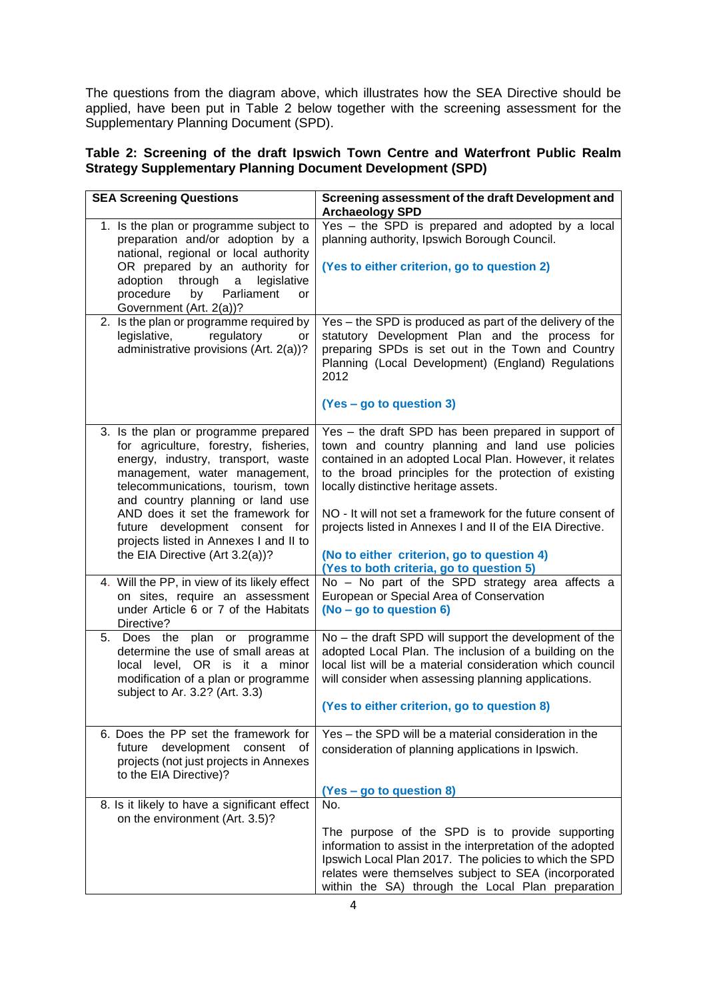The questions from the diagram above, which illustrates how the SEA Directive should be applied, have been put in Table 2 below together with the screening assessment for the Supplementary Planning Document (SPD).

# **Table 2: Screening of the draft Ipswich Town Centre and Waterfront Public Realm Strategy Supplementary Planning Document Development (SPD)**

| <b>SEA Screening Questions</b>                                                                                                                                                                                                | Screening assessment of the draft Development and<br><b>Archaeology SPD</b>                                                                                                                                                                                                          |
|-------------------------------------------------------------------------------------------------------------------------------------------------------------------------------------------------------------------------------|--------------------------------------------------------------------------------------------------------------------------------------------------------------------------------------------------------------------------------------------------------------------------------------|
| 1. Is the plan or programme subject to<br>preparation and/or adoption by a<br>national, regional or local authority                                                                                                           | Yes - the SPD is prepared and adopted by a local<br>planning authority, Ipswich Borough Council.                                                                                                                                                                                     |
| OR prepared by an authority for<br>adoption<br>through<br>legislative<br>$\mathbf{a}$<br>procedure<br>by Parliament<br>or                                                                                                     | (Yes to either criterion, go to question 2)                                                                                                                                                                                                                                          |
| Government (Art. 2(a))?                                                                                                                                                                                                       |                                                                                                                                                                                                                                                                                      |
| 2. Is the plan or programme required by<br>legislative,<br>regulatory<br>or<br>administrative provisions (Art. 2(a))?                                                                                                         | Yes - the SPD is produced as part of the delivery of the<br>statutory Development Plan and the process for<br>preparing SPDs is set out in the Town and Country<br>Planning (Local Development) (England) Regulations<br>2012<br>(Yes – go to question 3)                            |
|                                                                                                                                                                                                                               |                                                                                                                                                                                                                                                                                      |
| 3. Is the plan or programme prepared<br>for agriculture, forestry, fisheries,<br>energy, industry, transport, waste<br>management, water management,<br>telecommunications, tourism, town<br>and country planning or land use | Yes - the draft SPD has been prepared in support of<br>town and country planning and land use policies<br>contained in an adopted Local Plan. However, it relates<br>to the broad principles for the protection of existing<br>locally distinctive heritage assets.                  |
| AND does it set the framework for<br>future development consent for<br>projects listed in Annexes I and II to                                                                                                                 | NO - It will not set a framework for the future consent of<br>projects listed in Annexes I and II of the EIA Directive.                                                                                                                                                              |
| the EIA Directive (Art 3.2(a))?                                                                                                                                                                                               | (No to either criterion, go to question 4)<br>(Yes to both criteria, go to question 5)                                                                                                                                                                                               |
| 4. Will the PP, in view of its likely effect                                                                                                                                                                                  | No - No part of the SPD strategy area affects a                                                                                                                                                                                                                                      |
| on sites, require an assessment<br>under Article 6 or 7 of the Habitats<br>Directive?                                                                                                                                         | European or Special Area of Conservation<br>(No - go to question 6)                                                                                                                                                                                                                  |
| 5. Does the plan or programme<br>determine the use of small areas at<br>local level, OR is it a minor<br>modification of a plan or programme<br>subject to Ar. 3.2? (Art. 3.3)                                                | No - the draft SPD will support the development of the<br>adopted Local Plan. The inclusion of a building on the<br>local list will be a material consideration which council<br>will consider when assessing planning applications.                                                 |
|                                                                                                                                                                                                                               | (Yes to either criterion, go to question 8)                                                                                                                                                                                                                                          |
| 6. Does the PP set the framework for<br>development<br>future<br>consent<br>0f<br>projects (not just projects in Annexes<br>to the EIA Directive)?                                                                            | Yes – the SPD will be a material consideration in the<br>consideration of planning applications in Ipswich.                                                                                                                                                                          |
|                                                                                                                                                                                                                               | (Yes - go to question 8)                                                                                                                                                                                                                                                             |
| 8. Is it likely to have a significant effect<br>on the environment (Art. 3.5)?                                                                                                                                                | No.                                                                                                                                                                                                                                                                                  |
|                                                                                                                                                                                                                               | The purpose of the SPD is to provide supporting<br>information to assist in the interpretation of the adopted<br>Ipswich Local Plan 2017. The policies to which the SPD<br>relates were themselves subject to SEA (incorporated<br>within the SA) through the Local Plan preparation |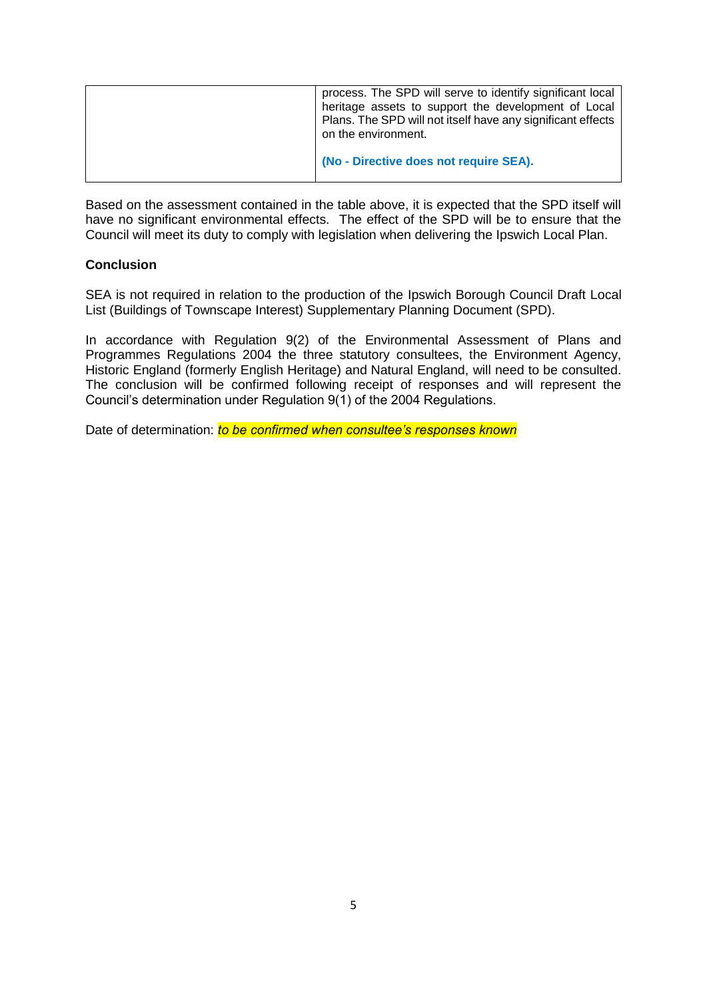| process. The SPD will serve to identify significant local<br>heritage assets to support the development of Local<br>Plans. The SPD will not itself have any significant effects<br>on the environment. |
|--------------------------------------------------------------------------------------------------------------------------------------------------------------------------------------------------------|
| (No - Directive does not require SEA).                                                                                                                                                                 |

Based on the assessment contained in the table above, it is expected that the SPD itself will have no significant environmental effects. The effect of the SPD will be to ensure that the Council will meet its duty to comply with legislation when delivering the Ipswich Local Plan.

### **Conclusion**

SEA is not required in relation to the production of the Ipswich Borough Council Draft Local List (Buildings of Townscape Interest) Supplementary Planning Document (SPD).

In accordance with Regulation 9(2) of the Environmental Assessment of Plans and Programmes Regulations 2004 the three statutory consultees, the Environment Agency, Historic England (formerly English Heritage) and Natural England, will need to be consulted. The conclusion will be confirmed following receipt of responses and will represent the Council's determination under Regulation 9(1) of the 2004 Regulations.

Date of determination: *to be confirmed when consultee's responses known*